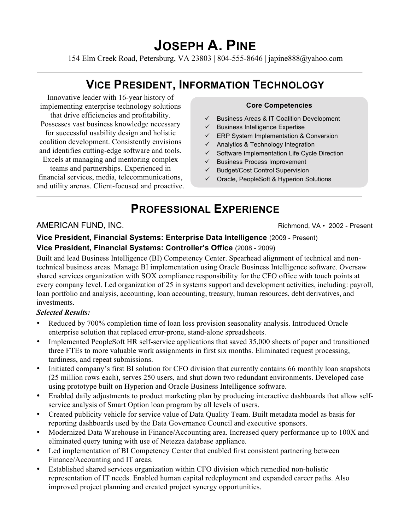# **JOSEPH A. PINE**

154 Elm Creek Road, Petersburg, VA 23803 | 804-555-8646 | japine888@yahoo.com

## **VICE PRESIDENT, INFORMATION TECHNOLOGY**

Innovative leader with 16-year history of implementing enterprise technology solutions that drive efficiencies and profitability. Possesses vast business knowledge necessary for successful usability design and holistic coalition development. Consistently envisions and identifies cutting-edge software and tools. Excels at managing and mentoring complex teams and partnerships. Experienced in financial services, media, telecommunications, and utility arenas. Client-focused and proactive.

#### **Core Competencies**

- $\checkmark$  Business Areas & IT Coalition Development
- $\checkmark$  Business Intelligence Expertise
- $\checkmark$  ERP System Implementation & Conversion
- $\checkmark$  Analytics & Technology Integration
- $\checkmark$  Software Implementation Life Cycle Direction
- $\checkmark$  Business Process Improvement
- $\checkmark$  Budget/Cost Control Supervision
- $\checkmark$  Oracle, PeopleSoft & Hyperion Solutions

## **PROFESSIONAL EXPERIENCE**

AMERICAN FUND, INC. The state of the state of the state of the Richmond, VA • 2002 - Present

#### **Vice President, Financial Systems: Enterprise Data Intelligence** (2009 - Present) **Vice President, Financial Systems: Controller's Office** (2008 - 2009)

Built and lead Business Intelligence (BI) Competency Center. Spearhead alignment of technical and nontechnical business areas. Manage BI implementation using Oracle Business Intelligence software. Oversaw shared services organization with SOX compliance responsibility for the CFO office with touch points at every company level. Led organization of 25 in systems support and development activities, including: payroll, loan portfolio and analysis, accounting, loan accounting, treasury, human resources, debt derivatives, and investments.

#### *Selected Results:*

- Reduced by 700% completion time of loan loss provision seasonality analysis. Introduced Oracle enterprise solution that replaced error-prone, stand-alone spreadsheets.
- Implemented PeopleSoft HR self-service applications that saved 35,000 sheets of paper and transitioned three FTEs to more valuable work assignments in first six months. Eliminated request processing, tardiness, and repeat submissions.
- Initiated company's first BI solution for CFO division that currently contains 66 monthly loan snapshots (25 million rows each), serves 250 users, and shut down two redundant environments. Developed case using prototype built on Hyperion and Oracle Business Intelligence software.
- Enabled daily adjustments to product marketing plan by producing interactive dashboards that allow selfservice analysis of Smart Option loan program by all levels of users.
- Created publicity vehicle for service value of Data Quality Team. Built metadata model as basis for reporting dashboards used by the Data Governance Council and executive sponsors.
- Modernized Data Warehouse in Finance/Accounting area. Increased query performance up to 100X and eliminated query tuning with use of Netezza database appliance.
- Led implementation of BI Competency Center that enabled first consistent partnering between Finance/Accounting and IT areas.
- Established shared services organization within CFO division which remedied non-holistic representation of IT needs. Enabled human capital redeployment and expanded career paths. Also improved project planning and created project synergy opportunities.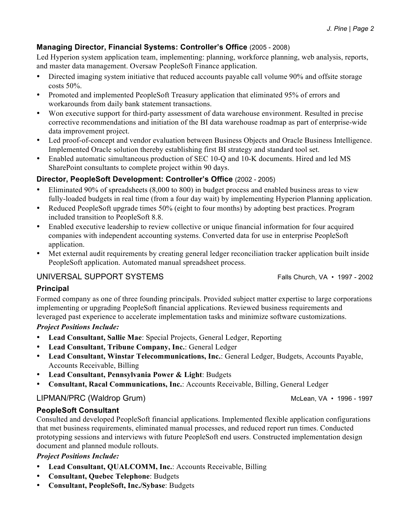#### **Managing Director, Financial Systems: Controller's Office** (2005 - 2008)

Led Hyperion system application team, implementing: planning, workforce planning, web analysis, reports, and master data management. Oversaw PeopleSoft Finance application.

- Directed imaging system initiative that reduced accounts payable call volume 90% and offsite storage costs 50%.
- Promoted and implemented PeopleSoft Treasury application that eliminated 95% of errors and workarounds from daily bank statement transactions.
- Won executive support for third-party assessment of data warehouse environment. Resulted in precise corrective recommendations and initiation of the BI data warehouse roadmap as part of enterprise-wide data improvement project.
- Led proof-of-concept and vendor evaluation between Business Objects and Oracle Business Intelligence. Implemented Oracle solution thereby establishing first BI strategy and standard tool set.
- Enabled automatic simultaneous production of SEC 10-Q and 10-K documents. Hired and led MS SharePoint consultants to complete project within 90 days.

### **Director, PeopleSoft Development: Controller's Office** (2002 - 2005)

- Eliminated 90% of spreadsheets (8,000 to 800) in budget process and enabled business areas to view fully-loaded budgets in real time (from a four day wait) by implementing Hyperion Planning application.
- Reduced PeopleSoft upgrade times 50% (eight to four months) by adopting best practices. Program included transition to PeopleSoft 8.8.
- Enabled executive leadership to review collective or unique financial information for four acquired companies with independent accounting systems. Converted data for use in enterprise PeopleSoft application.
- Met external audit requirements by creating general ledger reconciliation tracker application built inside PeopleSoft application. Automated manual spreadsheet process.

### UNIVERSAL SUPPORT SYSTEMS Falls Church, VA • 1997 - 2002

#### **Principal**

Formed company as one of three founding principals. Provided subject matter expertise to large corporations implementing or upgrading PeopleSoft financial applications. Reviewed business requirements and leveraged past experience to accelerate implementation tasks and minimize software customizations.

#### *Project Positions Include:*

- **Lead Consultant, Sallie Mae**: Special Projects, General Ledger, Reporting
- **Lead Consultant, Tribune Company, Inc.**: General Ledger
- **Lead Consultant, Winstar Telecommunications, Inc.**: General Ledger, Budgets, Accounts Payable, Accounts Receivable, Billing
- **Lead Consultant, Pennsylvania Power & Light**: Budgets
- **Consultant, Racal Communications, Inc.**: Accounts Receivable, Billing, General Ledger

#### LIPMAN/PRC (Waldrop Grum) and the control of the McLean, VA • 1996 - 1997

#### **PeopleSoft Consultant**

Consulted and developed PeopleSoft financial applications. Implemented flexible application configurations that met business requirements, eliminated manual processes, and reduced report run times. Conducted prototyping sessions and interviews with future PeopleSoft end users. Constructed implementation design document and planned module rollouts.

#### *Project Positions Include:*

- **Lead Consultant, QUALCOMM, Inc.**: Accounts Receivable, Billing
- **Consultant, Quebec Telephone**: Budgets
- **Consultant, PeopleSoft, Inc./Sybase**: Budgets